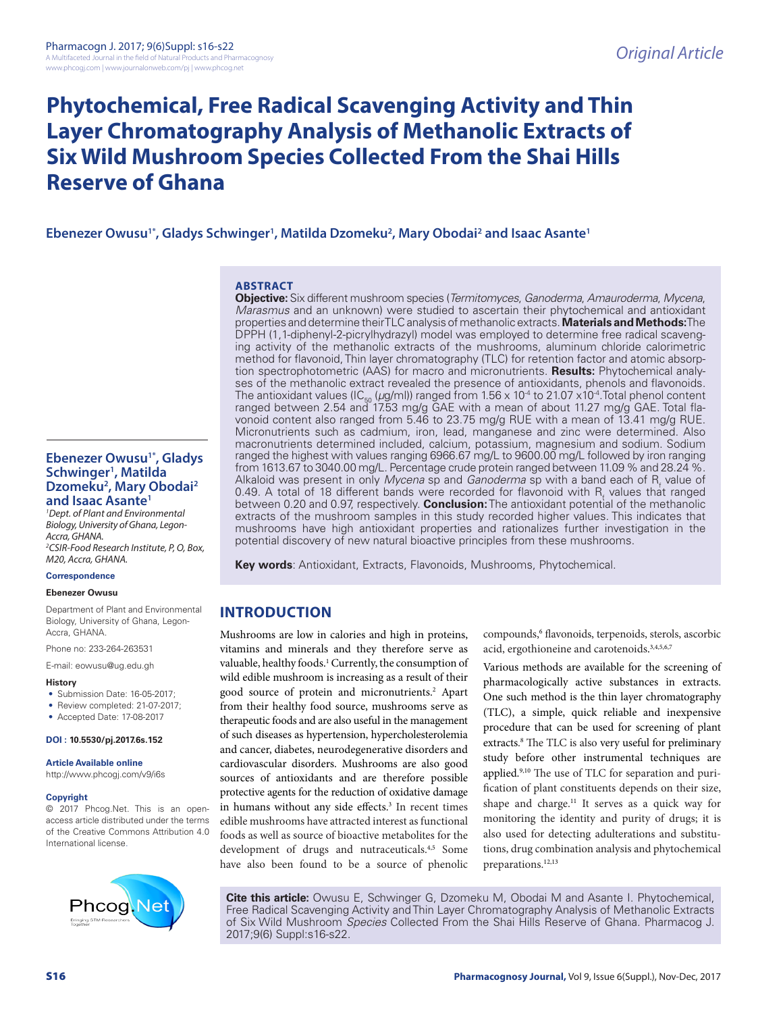# **Phytochemical, Free Radical Scavenging Activity and Thin Layer Chromatography Analysis of Methanolic Extracts of Six Wild Mushroom Species Collected From the Shai Hills Reserve of Ghana**

# Ebenezer Owusu<sup>1\*</sup>, Gladys Schwinger<sup>1</sup>, Matilda Dzomeku<sup>2</sup>, Mary Obodai<sup>2</sup> and Isaac Asante<sup>1</sup>

#### **ABSTRACT**

**Objective:** Six different mushroom species (*Termitomyces*, *Ganoderma*, *Amauroderma*, *Mycena*, *Marasmus* and an unknown) were studied to ascertain their phytochemical and antioxidant properties and determine their TLC analysis of methanolic extracts. **Materials and Methods:**The DPPH (1,1-diphenyl-2-picrylhydrazyl) model was employed to determine free radical scavenging activity of the methanolic extracts of the mushrooms, aluminum chloride calorimetric method for flavonoid, Thin layer chromatography (TLC) for retention factor and atomic absorption spectrophotometric (AAS) for macro and micronutrients. **Results:** Phytochemical analyses of the methanolic extract revealed the presence of antioxidants, phenols and flavonoids. The antioxidant values (IC<sub>50</sub> (µg/ml)) ranged from 1.56 x 10<sup>.4</sup> to 21.07 x10<sup>.4</sup>.Total phenol content<br>ranged between 2.54 and 17.53 mg/g GAE with a mean of about 11.27 mg/g GAE. Total flavonoid content also ranged from 5.46 to 23.75 mg/g RUE with a mean of 13.41 mg/g RUE. Micronutrients such as cadmium, iron, lead, manganese and zinc were determined. Also macronutrients determined included, calcium, potassium, magnesium and sodium. Sodium ranged the highest with values ranging 6966.67 mg/L to 9600.00 mg/L followed by iron ranging from 1613.67 to 3040.00 mg/L. Percentage crude protein ranged between 11.09 % and 28.24 %. Alkaloid was present in only *Mycena* sp and *Ganoderma* sp with a band each of R<sub>f</sub> value of 0.49. A total of 18 different bands were recorded for flavonoid with  $R_t$  values that ranged between 0.20 and 0.97, respectively. **Conclusion:** The antioxidant potential of the methanolic extracts of the mushroom samples in this study recorded higher values. This indicates that mushrooms have high antioxidant properties and rationalizes further investigation in the potential discovery of new natural bioactive principles from these mushrooms.

**Key words**: Antioxidant, Extracts, Flavonoids, Mushrooms, Phytochemical.

# **INTRODUCTION**

Mushrooms are low in calories and high in proteins, vitamins and minerals and they therefore serve as valuable, healthy foods.<sup>1</sup> Currently, the consumption of wild edible mushroom is increasing as a result of their good source of protein and micronutrients.<sup>2</sup> Apart from their healthy food source, mushrooms serve as therapeutic foods and are also useful in the management of such diseases as hypertension, hypercholesterolemia and cancer, diabetes, neurodegenerative disorders and cardiovascular disorders. Mushrooms are also good sources of antioxidants and are therefore possible protective agents for the reduction of oxidative damage in humans without any side effects.<sup>3</sup> In recent times edible mushrooms have attracted interest as functional foods as well as source of bioactive metabolites for the development of drugs and nutraceuticals.<sup>4,5</sup> Some have also been found to be a source of phenolic

compounds,<sup>6</sup> flavonoids, terpenoids, sterols, ascorbic acid, ergothioneine and carotenoids. 3,4,5,6,7

Various methods are available for the screening of pharmacologically active substances in extracts. One such method is the thin layer chromatography (TLC), a simple, quick reliable and inexpensive procedure that can be used for screening of plant extracts. 8 The TLC is also very useful for preliminary study before other instrumental techniques are applied.9,10 The use of TLC for separation and purification of plant constituents depends on their size, shape and charge.<sup>11</sup> It serves as a quick way for monitoring the identity and purity of drugs; it is also used for detecting adulterations and substitutions, drug combination analysis and phytochemical preparations.12,13

**Cite this article:** Owusu E, Schwinger G, Dzomeku M, Obodai M and Asante I. Phytochemical, Free Radical Scavenging Activity and Thin Layer Chromatography Analysis of Methanolic Extracts of Six Wild Mushroom *Species* Collected From the Shai Hills Reserve of Ghana. Pharmacog J. 2017;9(6) Suppl:s16-s22.

## **Ebenezer Owusu1\*, Gladys Schwinger1 , Matilda Dzomeku2 , Mary Obodai2 and Isaac Asante1**

*1 Dept. of Plant and Environmental Biology, University of Ghana, Legon-Accra, GHANA. 2 CSIR-Food Research Institute, P, O, Box, M20, Accra, GHANA.*

#### **Correspondence**

#### **Ebenezer Owusu**

Department of Plant and Environmental Biology, University of Ghana, Legon-Accra, GHANA.

Phone no: 233-264-263531

E-mail: eowusu@ug.edu.gh

#### **History**

- Submission Date: 16-05-2017;
- Review completed: 21-07-2017;
- Accepted Date: 17-08-2017

#### **DOI : 10.5530/pj.2017.6s.152**

**Article Available online** 

http://www.phcogj.com/v9/i6s

#### **Copyright**

© 2017 Phcog.Net. This is an openaccess article distributed under the terms of the Creative Commons Attribution 4.0 International license.

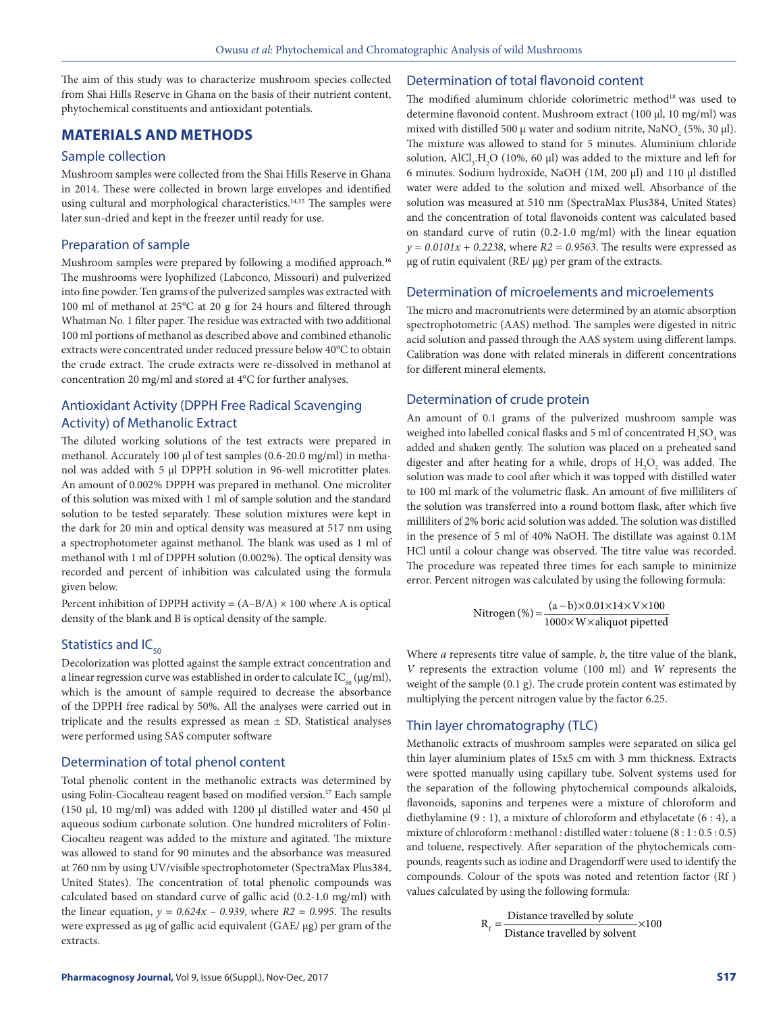The aim of this study was to characterize mushroom species collected from Shai Hills Reserve in Ghana on the basis of their nutrient content, phytochemical constituents and antioxidant potentials.

# **MATERIALS AND METHODS**

## Sample collection

Mushroom samples were collected from the Shai Hills Reserve in Ghana in 2014. These were collected in brown large envelopes and identified using cultural and morphological characteristics.<sup>14,15</sup> The samples were later sun-dried and kept in the freezer until ready for use.

## Preparation of sample

Mushroom samples were prepared by following a modified approach.<sup>16</sup> The mushrooms were lyophilized (Labconco, Missouri) and pulverized into fine powder. Ten grams of the pulverized samples was extracted with 100 ml of methanol at 25°C at 20 g for 24 hours and filtered through Whatman No. 1 filter paper. The residue was extracted with two additional 100 ml portions of methanol as described above and combined ethanolic extracts were concentrated under reduced pressure below 40°C to obtain the crude extract. The crude extracts were re-dissolved in methanol at concentration 20 mg/ml and stored at 4°C for further analyses.

# Antioxidant Activity (DPPH Free Radical Scavenging Activity) of Methanolic Extract

The diluted working solutions of the test extracts were prepared in methanol. Accurately 100 μl of test samples (0.6-20.0 mg/ml) in methanol was added with 5 μl DPPH solution in 96-well microtitter plates. An amount of 0.002% DPPH was prepared in methanol. One microliter of this solution was mixed with 1 ml of sample solution and the standard solution to be tested separately. These solution mixtures were kept in the dark for 20 min and optical density was measured at 517 nm using a spectrophotometer against methanol. The blank was used as 1 ml of methanol with 1 ml of DPPH solution (0.002%). The optical density was recorded and percent of inhibition was calculated using the formula given below.

Percent inhibition of DPPH activity =  $(A-B/A) \times 100$  where A is optical density of the blank and B is optical density of the sample.

# Statistics and  $IC_{50}$

Decolorization was plotted against the sample extract concentration and a linear regression curve was established in order to calculate  $IC_{50} (\mu g/ml)$ , which is the amount of sample required to decrease the absorbance of the DPPH free radical by 50%. All the analyses were carried out in triplicate and the results expressed as mean  $\pm$  SD. Statistical analyses were performed using SAS computer software

#### Determination of total phenol content

Total phenolic content in the methanolic extracts was determined by using Folin-Ciocalteau reagent based on modified version.<sup>17</sup> Each sample (150 μl, 10 mg/ml) was added with 1200 μl distilled water and 450 μl aqueous sodium carbonate solution. One hundred microliters of Folin-Ciocalteu reagent was added to the mixture and agitated. The mixture was allowed to stand for 90 minutes and the absorbance was measured at 760 nm by using UV/visible spectrophotometer (SpectraMax Plus384, United States). The concentration of total phenolic compounds was calculated based on standard curve of gallic acid (0.2-1.0 mg/ml) with the linear equation,  $y = 0.624x - 0.939$ , where  $R2 = 0.995$ . The results were expressed as μg of gallic acid equivalent (GAE/ μg) per gram of the extracts.

### Determination of total flavonoid content

The modified aluminum chloride colorimetric method<sup>18</sup> was used to determine flavonoid content. Mushroom extract (100 μl, 10 mg/ml) was mixed with distilled 500  $\mu$  water and sodium nitrite, NaNO<sub>2</sub> (5%, 30  $\mu$ l). The mixture was allowed to stand for 5 minutes. Aluminium chloride solution,  $\text{AlCl}_3\text{,H}_2\text{O}$  (10%, 60 µl) was added to the mixture and left for 6 minutes. Sodium hydroxide, NaOH (1M, 200 μl) and 110 μl distilled water were added to the solution and mixed well. Absorbance of the solution was measured at 510 nm (SpectraMax Plus384, United States) and the concentration of total flavonoids content was calculated based on standard curve of rutin (0.2-1.0 mg/ml) with the linear equation  $y = 0.0101x + 0.2238$ , where  $R2 = 0.9563$ . The results were expressed as μg of rutin equivalent (RE/ μg) per gram of the extracts.

## Determination of microelements and microelements

The micro and macronutrients were determined by an atomic absorption spectrophotometric (AAS) method. The samples were digested in nitric acid solution and passed through the AAS system using different lamps. Calibration was done with related minerals in different concentrations for different mineral elements.

# Determination of crude protein

An amount of 0.1 grams of the pulverized mushroom sample was weighed into labelled conical flasks and 5 ml of concentrated  $\rm{H_2SO_4}$  was added and shaken gently. The solution was placed on a preheated sand digester and after heating for a while, drops of  $H_2O_2$  was added. The solution was made to cool after which it was topped with distilled water to 100 ml mark of the volumetric flask. An amount of five milliliters of the solution was transferred into a round bottom flask, after which five milliliters of 2% boric acid solution was added. The solution was distilled in the presence of 5 ml of 40% NaOH. The distillate was against 0.1M HCl until a colour change was observed. The titre value was recorded. The procedure was repeated three times for each sample to minimize error. Percent nitrogen was calculated by using the following formula:

Nitrogen (%) = 
$$
\frac{(a-b) \times 0.01 \times 14 \times V \times 100}{1000 \times W \times aliquot pipetted}
$$

Where *a* represents titre value of sample, *b*, the titre value of the blank, *V* represents the extraction volume (100 ml) and *W* represents the weight of the sample (0.1 g). The crude protein content was estimated by multiplying the percent nitrogen value by the factor 6.25.

### Thin layer chromatography (TLC)

Methanolic extracts of mushroom samples were separated on silica gel thin layer aluminium plates of 15x5 cm with 3 mm thickness. Extracts were spotted manually using capillary tube. Solvent systems used for the separation of the following phytochemical compounds alkaloids, flavonoids, saponins and terpenes were a mixture of chloroform and diethylamine (9 : 1), a mixture of chloroform and ethylacetate (6 : 4), a mixture of chloroform : methanol : distilled water : toluene (8 : 1 : 0.5 : 0.5) and toluene, respectively. After separation of the phytochemicals compounds, reagents such as iodine and Dragendorff were used to identify the compounds. Colour of the spots was noted and retention factor (Rf ) values calculated by using the following formula:

$$
R_f = \frac{\text{Distance travelled by solute}}{\text{Distance travelled by solvent}} \times 100
$$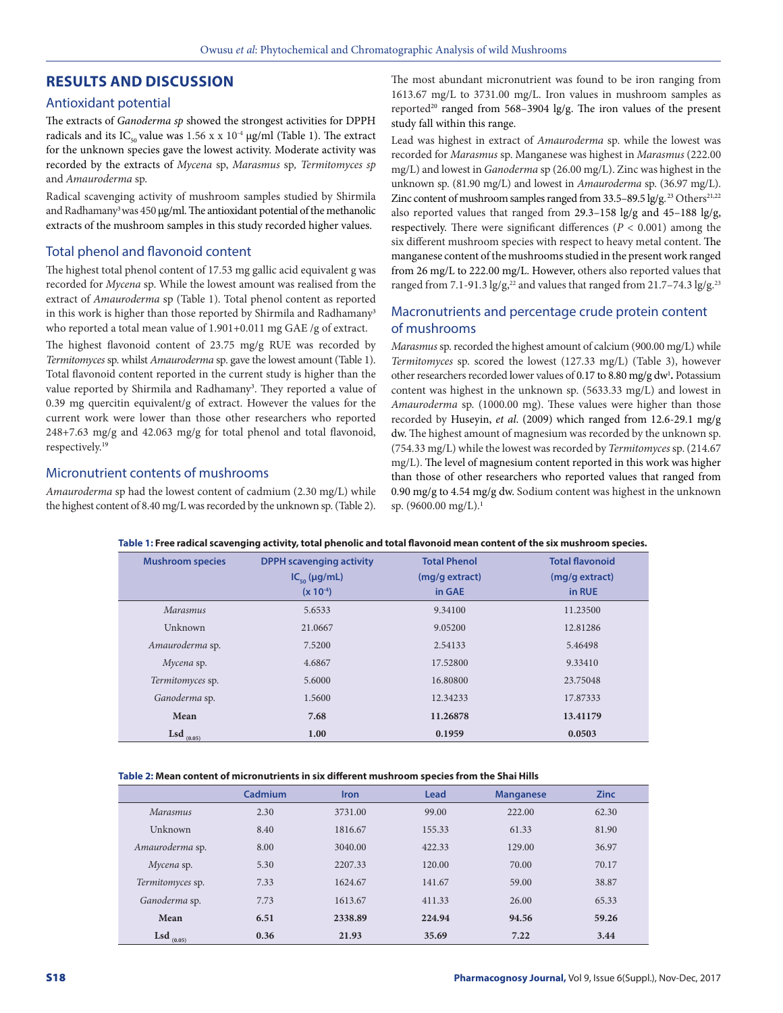## **RESULTS AND DISCUSSION**

#### Antioxidant potential

The extracts of *Ganoderma sp* showed the strongest activities for DPPH radicals and its IC<sub>50</sub> value was 1.56 x x 10<sup>-4</sup> µg/ml (Table 1). The extract for the unknown species gave the lowest activity. Moderate activity was recorded by the extracts of *Mycena* sp, *Marasmus* sp*, Termitomyces sp*  and *Amauroderma* sp.

Radical scavenging activity of mushroom samples studied by Shirmila and Radhamany<sup>3</sup> was 450 μg/ml. The antioxidant potential of the methanolic extracts of the mushroom samples in this study recorded higher values.

## Total phenol and flavonoid content

The highest total phenol content of 17.53 mg gallic acid equivalent g was recorded for *Mycena* sp. While the lowest amount was realised from the extract of *Amauroderma* sp (Table 1). Total phenol content as reported in this work is higher than those reported by Shirmila and Radhamany<sup>3</sup> who reported a total mean value of 1.901+0.011 mg GAE /g of extract.

The highest flavonoid content of 23.75 mg/g RUE was recorded by *Termitomyces* sp. whilst *Amauroderma* sp. gave the lowest amount (Table 1). Total flavonoid content reported in the current study is higher than the value reported by Shirmila and Radhamany<sup>3</sup>. They reported a value of 0.39 mg quercitin equivalent/g of extract. However the values for the current work were lower than those other researchers who reported 248+7.63 mg/g and 42.063 mg/g for total phenol and total flavonoid, respectively.19

## Micronutrient contents of mushrooms

*Amauroderma* sp had the lowest content of cadmium (2.30 mg/L) while the highest content of 8.40 mg/L was recorded by the unknown sp. (Table 2). The most abundant micronutrient was found to be iron ranging from 1613.67 mg/L to 3731.00 mg/L. Iron values in mushroom samples as reported<sup>20</sup> ranged from 568–3904 lg/g. The iron values of the present study fall within this range.

Lead was highest in extract of *Amauroderma* sp. while the lowest was recorded for *Marasmus* sp. Manganese was highest in *Marasmus* (222.00 mg/L) and lowest in *Ganoderma* sp (26.00 mg/L). Zinc was highest in the unknown sp. (81.90 mg/L) and lowest in *Amauroderma* sp. (36.97 mg/L). Zinc content of mushroom samples ranged from  $33.5-89.5$  lg/g.<sup>23</sup> Others<sup>21,22</sup> also reported values that ranged from  $29.3-158$  lg/g and  $45-188$  lg/g, respectively. There were significant differences (*P* < 0.001) among the six different mushroom species with respect to heavy metal content. The manganese content of the mushrooms studied in the present work ranged from 26 mg/L to 222.00 mg/L. However, others also reported values that ranged from 7.1-91.3 lg/g,<sup>22</sup> and values that ranged from 21.7-74.3 lg/g.<sup>23</sup>

## Macronutrients and percentage crude protein content of mushrooms

*Marasmus* sp. recorded the highest amount of calcium (900.00 mg/L) while *Termitomyces* sp. scored the lowest (127.33 mg/L) (Table 3), however other researchers recorded lower values of 0.17 to 8.80 mg/g dw<sup>1</sup>. Potassium content was highest in the unknown sp. (5633.33 mg/L) and lowest in *Amauroderma* sp. (1000.00 mg). These values were higher than those recorded by Huseyin, *et al*. (2009) which ranged from 12.6-29.1 mg/g dw. The highest amount of magnesium was recorded by the unknown sp. (754.33 mg/L) while the lowest was recorded by *Termitomyces* sp. (214.67 mg/L). The level of magnesium content reported in this work was higher than those of other researchers who reported values that ranged from 0.90 mg/g to 4.54 mg/g dw. Sodium content was highest in the unknown sp. (9600.00 mg/L).<sup>1</sup>

#### **Table 1: Free radical scavenging activity, total phenolic and total flavonoid mean content of the six mushroom species.**

| <b>Mushroom species</b> | <b>DPPH scavenging activity</b> | <b>Total Phenol</b> | <b>Total flavonoid</b> |
|-------------------------|---------------------------------|---------------------|------------------------|
|                         | $IC_{50}$ (µg/mL)               | (mg/g extract)      | (mg/g extract)         |
|                         | $(x 10^{-4})$                   | in GAE              | in RUE                 |
| <i>Marasmus</i>         | 5.6533                          | 9.34100             | 11.23500               |
| Unknown                 | 21.0667                         | 9.05200             | 12.81286               |
| Amauroderma sp.         | 7.5200                          | 2.54133             | 5.46498                |
| Mycena sp.              | 4.6867                          | 17.52800            | 9.33410                |
| Termitomyces sp.        | 5.6000                          | 16.80800            | 23.75048               |
| Ganoderma sp.           | 1.5600                          | 12.34233            | 17.87333               |
| Mean                    | 7.68                            | 11.26878            | 13.41179               |
| $\text{Lsd}_{(0.05)}$   | 1.00                            | 0.1959              | 0.0503                 |

#### **Table 2: Mean content of micronutrients in six different mushroom species from the Shai Hills**

|                       | Cadmium | <b>Iron</b> | Lead   | <b>Manganese</b> | <b>Zinc</b> |
|-----------------------|---------|-------------|--------|------------------|-------------|
| <i>Marasmus</i>       | 2.30    | 3731.00     | 99.00  | 222.00           | 62.30       |
| Unknown               | 8.40    | 1816.67     | 155.33 | 61.33            | 81.90       |
| Amauroderma sp.       | 8.00    | 3040.00     | 422.33 | 129.00           | 36.97       |
| Mycena sp.            | 5.30    | 2207.33     | 120.00 | 70.00            | 70.17       |
| Termitomyces sp.      | 7.33    | 1624.67     | 141.67 | 59.00            | 38.87       |
| Ganoderma sp.         | 7.73    | 1613.67     | 411.33 | 26.00            | 65.33       |
| Mean                  | 6.51    | 2338.89     | 224.94 | 94.56            | 59.26       |
| $\text{Lsd}_{(0.05)}$ | 0.36    | 21.93       | 35.69  | 7.22             | 3.44        |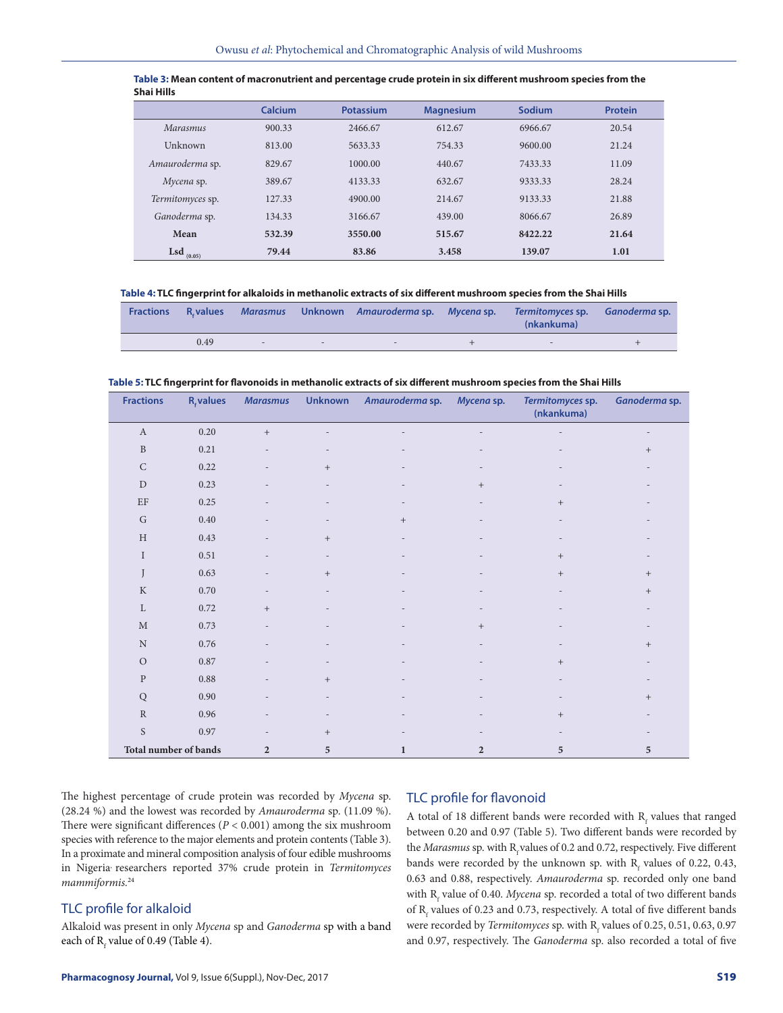|                         | Calcium | <b>Potassium</b> | <b>Magnesium</b> | Sodium  | Protein |
|-------------------------|---------|------------------|------------------|---------|---------|
| <i>Marasmus</i>         | 900.33  | 2466.67          | 612.67           | 6966.67 | 20.54   |
| Unknown                 | 813.00  | 5633.33          | 754.33           | 9600.00 | 21.24   |
| Amauroderma sp.         | 829.67  | 1000.00          | 440.67           | 7433.33 | 11.09   |
| Mycena sp.              | 389.67  | 4133.33          | 632.67           | 9333.33 | 28.24   |
| <i>Termitomyces sp.</i> | 127.33  | 4900.00          | 214.67           | 9133.33 | 21.88   |
| Ganoderma sp.           | 134.33  | 3166.67          | 439.00           | 8066.67 | 26.89   |
| Mean                    | 532.39  | 3550.00          | 515.67           | 8422.22 | 21.64   |
| <b>Lsd</b> $_{(0.05)}$  | 79.44   | 83.86            | 3.458            | 139.07  | 1.01    |

| Table 3: Mean content of macronutrient and percentage crude protein in six different mushroom species from the |  |
|----------------------------------------------------------------------------------------------------------------|--|
| <b>Shai Hills</b>                                                                                              |  |

**Table 4: TLC fingerprint for alkaloids in methanolic extracts of six different mushroom species from the Shai Hills**

| <b>Fractions</b> | R. values |        |        | Marasmus Unknown Amauroderma sp. Mycena sp. | Termitomyces sp. Ganoderma sp.<br>(nkankuma) |  |
|------------------|-----------|--------|--------|---------------------------------------------|----------------------------------------------|--|
|                  | 0.49      | $\sim$ | $\sim$ |                                             |                                              |  |

| Table 5: TLC fingerprint for flavonoids in methanolic extracts of six different mushroom species from the Shai Hills |  |  |
|----------------------------------------------------------------------------------------------------------------------|--|--|
|                                                                                                                      |  |  |

| <b>Fractions</b>             | $R_{\epsilon}$ values | <b>Marasmus</b>   | <b>Unknown</b>    | Amauroderma sp. | Mycena sp.     | Termitomyces sp.<br>(nkankuma) | Ganoderma sp. |
|------------------------------|-----------------------|-------------------|-------------------|-----------------|----------------|--------------------------------|---------------|
| $\boldsymbol{A}$             | 0.20                  | $\boldsymbol{+}$  |                   |                 |                |                                |               |
| $\, {\bf B}$                 | 0.21                  |                   |                   |                 |                |                                | $^{+}$        |
| $\mathsf C$                  | 0.22                  |                   | $\! + \!\!\!\!$   |                 |                |                                |               |
| $\mathbf D$                  | 0.23                  |                   |                   |                 | $^{+}$         |                                |               |
| $\rm EF$                     | 0.25                  |                   |                   |                 |                | $^{+}$                         |               |
| $\mathsf G$                  | 0.40                  |                   |                   | $^{+}$          |                |                                |               |
| H                            | 0.43                  |                   | $\, +$            |                 |                |                                |               |
| $\mathbf I$                  | 0.51                  |                   |                   |                 |                | $\qquad \qquad +$              |               |
| J                            | 0.63                  |                   | $\qquad \qquad +$ |                 |                | $^{+}$                         | $^{+}$        |
| $\rm K$                      | 0.70                  |                   |                   |                 |                |                                | $^{+}$        |
| $\mathbf L$                  | 0.72                  | $\qquad \qquad +$ |                   |                 |                |                                |               |
| M                            | 0.73                  |                   |                   |                 | $\! +$         |                                |               |
| $\mathbf N$                  | 0.76                  |                   |                   |                 |                |                                | $^{+}$        |
| $\circ$                      | $0.87\,$              |                   |                   |                 |                | $^{+}$                         |               |
| ${\bf P}$                    | 0.88                  |                   | $\qquad \qquad +$ |                 |                |                                |               |
| Q                            | 0.90                  |                   |                   |                 |                |                                | $^{+}$        |
| ${\bf R}$                    | 0.96                  |                   |                   |                 |                | $^{+}$                         |               |
| $\mathbf S$                  | 0.97                  |                   | $\qquad \qquad +$ |                 |                |                                |               |
| <b>Total number of bands</b> |                       | $\overline{2}$    | 5                 | 1               | $\overline{2}$ | 5                              | 5             |

The highest percentage of crude protein was recorded by *Mycena* sp. (28.24 %) and the lowest was recorded by *Amauroderma* sp. (11.09 %). There were significant differences (*P* < 0.001) among the six mushroom species with reference to the major elements and protein contents (Table 3). In a proximate and mineral composition analysis of four edible mushrooms in Nigeria, researchers reported 37% crude protein in *Termitomyces mammiformis.*<sup>24</sup>

## TLC profile for alkaloid

Alkaloid was present in only *Mycena* sp and *Ganoderma* sp with a band each of  $R_f$  value of 0.49 (Table 4).

## TLC profile for flavonoid

A total of 18 different bands were recorded with  $R_f$  values that ranged between 0.20 and 0.97 (Table 5). Two different bands were recorded by the *Marasmus* sp. with R<sub>t</sub> values of 0.2 and 0.72, respectively. Five different bands were recorded by the unknown sp. with  $R_f$  values of 0.22, 0.43, 0.63 and 0.88, respectively. *Amauroderma* sp. recorded only one band with R<sub>f</sub> value of 0.40. *Mycena* sp. recorded a total of two different bands of  $R_f$  values of 0.23 and 0.73, respectively. A total of five different bands were recorded by *Termitomyces* sp. with  $R_f$  values of 0.25, 0.51, 0.63, 0.97 and 0.97, respectively. The *Ganoderma* sp. also recorded a total of five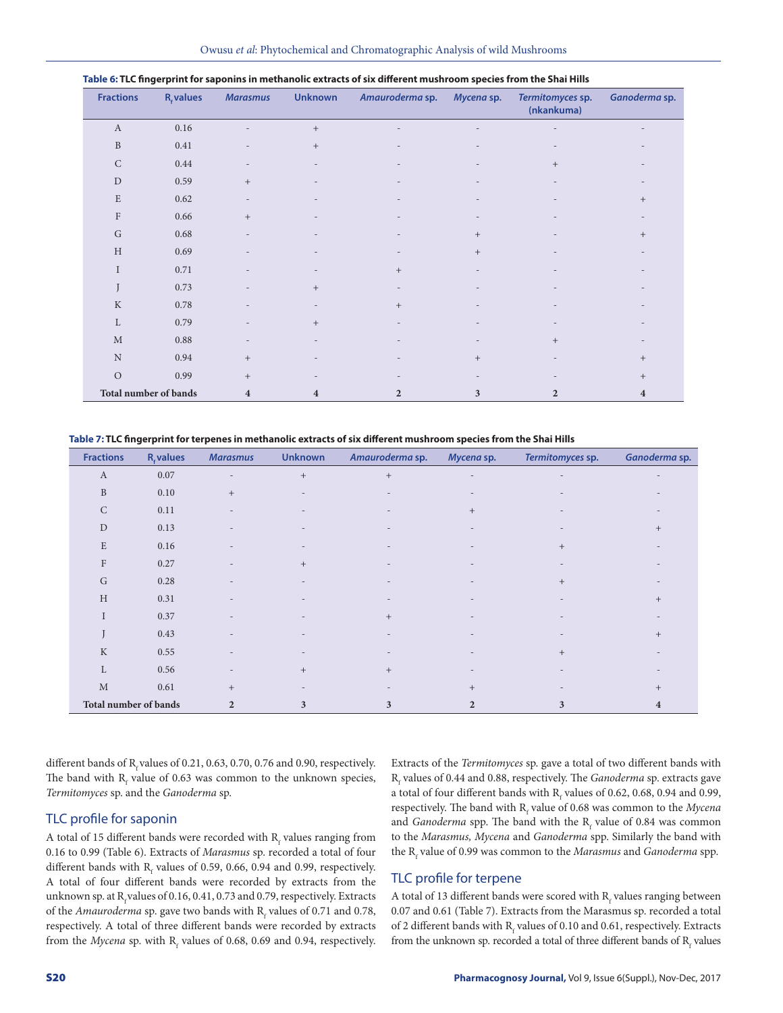| <b>Fractions</b>             | $R_{\epsilon}$ values | <b>Marasmus</b>         | <b>Unknown</b>                   | Amauroderma sp. | Mycena sp.        | Termitomyces sp.<br>(nkankuma) | Ganoderma sp.           |
|------------------------------|-----------------------|-------------------------|----------------------------------|-----------------|-------------------|--------------------------------|-------------------------|
| $\boldsymbol{A}$             | 0.16                  |                         | $\, +$                           |                 |                   |                                |                         |
| $\, {\bf B}$                 | 0.41                  |                         | $+$                              |                 | -                 |                                |                         |
| $\mathsf C$                  | 0.44                  |                         |                                  |                 | $\overline{a}$    | $+$                            |                         |
| $\mathbf D$                  | 0.59                  | $+$                     |                                  |                 |                   |                                |                         |
| $\mathbf E$                  | 0.62                  |                         |                                  |                 |                   |                                | $+$                     |
| $\rm F$                      | 0.66                  | $+$                     |                                  |                 |                   |                                |                         |
| $\mathsf G$                  | 0.68                  |                         |                                  |                 | $\qquad \qquad +$ |                                | $^{+}$                  |
| $\,$ H                       | 0.69                  |                         |                                  |                 | $\qquad \qquad +$ |                                |                         |
| $\rm I$                      | 0.71                  |                         |                                  | $^+$            |                   |                                |                         |
| J                            | 0.73                  |                         | $\begin{array}{c} + \end{array}$ |                 | -                 |                                |                         |
| $\rm K$                      | 0.78                  |                         | $\overline{\phantom{a}}$         | $+$             | $\overline{a}$    |                                |                         |
| L                            | 0.79                  |                         | $+$                              |                 |                   |                                |                         |
| $\mathbf M$                  | 0.88                  |                         |                                  |                 |                   | $+$                            |                         |
| $\mathbf N$                  | 0.94                  | $+$                     |                                  |                 | $\! +$            |                                | $^{+}$                  |
| $\mathcal{O}$                | 0.99                  | $+$                     |                                  |                 |                   |                                | $^{+}$                  |
| <b>Total number of bands</b> |                       | $\overline{\mathbf{4}}$ | 4                                | $\overline{2}$  | 3                 | $\overline{2}$                 | $\overline{\mathbf{4}}$ |

#### **Table 6: TLC fingerprint for saponins in methanolic extracts of six different mushroom species from the Shai Hills**

**Table 7: TLC fingerprint for terpenes in methanolic extracts of six different mushroom species from the Shai Hills**

| <b>Fractions</b>          | <b>R</b> , values | <b>Marasmus</b>          | <b>Unknown</b>    | Amauroderma sp. | Mycena sp.      | Termitomyces sp.         | Ganoderma sp. |
|---------------------------|-------------------|--------------------------|-------------------|-----------------|-----------------|--------------------------|---------------|
| $\boldsymbol{A}$          | 0.07              | $\overline{a}$           | $\qquad \qquad +$ | $+$             |                 | $\overline{\phantom{a}}$ |               |
| $\, {\bf B}$              | 0.10              | $^+$                     |                   |                 |                 |                          |               |
| ${\bf C}$                 | 0.11              |                          |                   |                 | $\! + \!\!\!\!$ |                          |               |
| ${\rm D}$                 | 0.13              | $\overline{\phantom{0}}$ |                   |                 |                 |                          | $^{+}$        |
| $\mathbf E$               | 0.16              |                          |                   |                 |                 | $+$                      |               |
| $\boldsymbol{\mathrm{F}}$ | 0.27              | ٠                        | $+$               |                 |                 |                          |               |
| $\mathsf G$               | 0.28              |                          |                   |                 |                 | $+$                      |               |
| H                         | 0.31              | ۰                        |                   |                 |                 |                          | $^{+}$        |
| I                         | 0.37              |                          |                   | $^{+}$          |                 |                          |               |
|                           | 0.43              |                          |                   |                 |                 |                          | $^{+}$        |
| $\rm K$                   | 0.55              |                          |                   |                 |                 | $+$                      |               |
| $\mathbf L$               | 0.56              | ۰                        | $+$               | $^{+}$          |                 |                          |               |
| $\mathbf{M}$              | 0.61              | $+$                      |                   |                 | $+$             |                          | $^+$          |
| Total number of bands     |                   | $\overline{2}$           | 3                 | 3               | $\overline{2}$  | 3                        | 4             |

different bands of  $R_c$  values of 0.21, 0.63, 0.70, 0.76 and 0.90, respectively. The band with  $R_f$  value of 0.63 was common to the unknown species, *Termitomyces* sp. and the *Ganoderma* sp.

## TLC profile for saponin

A total of 15 different bands were recorded with  $\rm R_{\rm f}$  values ranging from 0.16 to 0.99 (Table 6). Extracts of *Marasmus* sp. recorded a total of four different bands with  $R_f$  values of 0.59, 0.66, 0.94 and 0.99, respectively. A total of four different bands were recorded by extracts from the unknown sp. at  $R_f$  values of 0.16, 0.41, 0.73 and 0.79, respectively. Extracts of the *Amauroderma* sp. gave two bands with  $R_f$  values of 0.71 and 0.78, respectively. A total of three different bands were recorded by extracts from the *Mycena* sp. with  $R_f$  values of 0.68, 0.69 and 0.94, respectively. Extracts of the *Termitomyces* sp. gave a total of two different bands with Rf values of 0.44 and 0.88, respectively. The *Ganoderma* sp. extracts gave a total of four different bands with  $R_f$  values of 0.62, 0.68, 0.94 and 0.99, respectively. The band with R<sub>f</sub> value of 0.68 was common to the *Mycena* and *Ganoderma* spp. The band with the  $R_f$  value of 0.84 was common to the *Marasmus, Mycena* and *Ganoderma* spp. Similarly the band with the R<sub>f</sub> value of 0.99 was common to the *Marasmus* and *Ganoderma* spp.

## TLC profile for terpene

A total of 13 different bands were scored with  $\mathrm{R_{f}}$  values ranging between 0.07 and 0.61 (Table 7). Extracts from the Marasmus sp. recorded a total of 2 different bands with  $R_f$  values of 0.10 and 0.61, respectively. Extracts from the unknown sp. recorded a total of three different bands of  $R_f$  values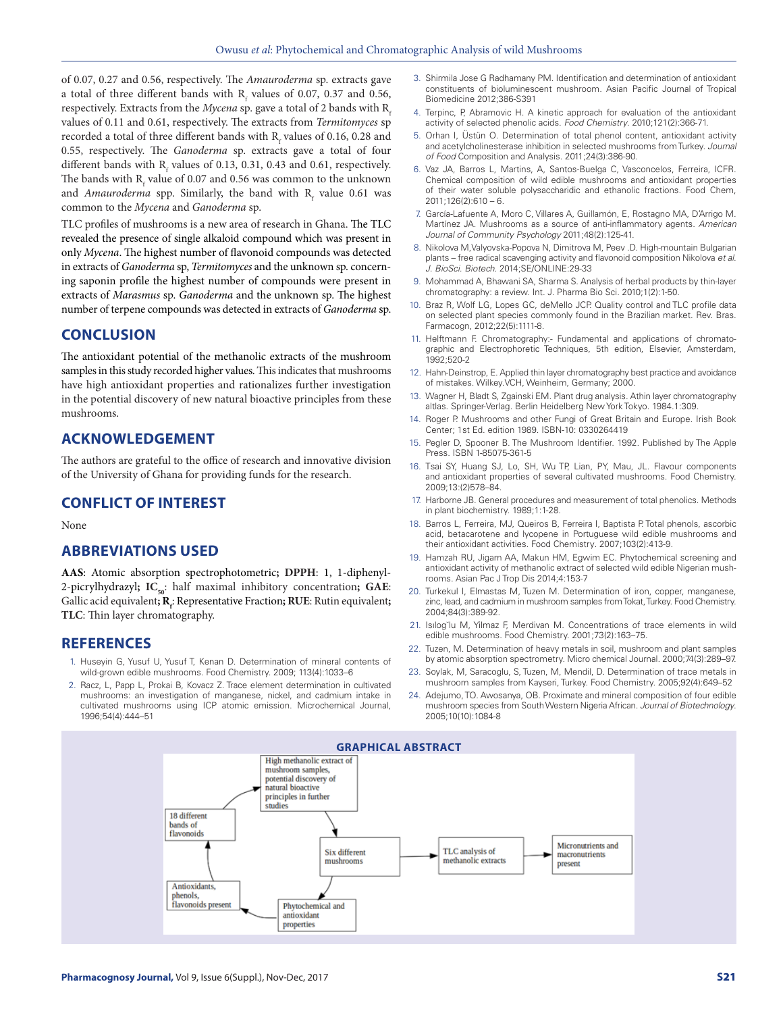of 0.07, 0.27 and 0.56, respectively. The *Amauroderma* sp. extracts gave a total of three different bands with  $R_f$  values of 0.07, 0.37 and 0.56, respectively. Extracts from the *Mycena* sp. gave a total of 2 bands with  $R_c$ values of 0.11 and 0.61, respectively. The extracts from *Termitomyces* sp recorded a total of three different bands with  $R_f$  values of 0.16, 0.28 and 0.55, respectively. The *Ganoderma* sp. extracts gave a total of four different bands with  $R_f$  values of 0.13, 0.31, 0.43 and 0.61, respectively. The bands with  $R_f$  value of 0.07 and 0.56 was common to the unknown and *Amauroderma* spp. Similarly, the band with R<sub>f</sub> value 0.61 was common to the *Mycena* and *Ganoderma* sp.

TLC profiles of mushrooms is a new area of research in Ghana. The TLC revealed the presence of single alkaloid compound which was present in only *Mycena*. The highest number of flavonoid compounds was detected in extracts of *Ganoderma* sp, *Termitomyces* and the unknown sp. concerning saponin profile the highest number of compounds were present in extracts of *Marasmus* sp. *Ganoderma* and the unknown sp. The highest number of terpene compounds was detected in extracts of *Ganoderma* sp.

## **CONCLUSION**

The antioxidant potential of the methanolic extracts of the mushroom samples in this study recorded higher values. This indicates that mushrooms have high antioxidant properties and rationalizes further investigation in the potential discovery of new natural bioactive principles from these mushrooms.

## **ACKNOWLEDGEMENT**

The authors are grateful to the office of research and innovative division of the University of Ghana for providing funds for the research.

## **CONFLICT OF INTEREST**

None

# **ABBREVIATIONS USED**

**AAS**: Atomic absorption spectrophotometric**; DPPH**: 1, 1-diphenyl-2-picrylhydrazyl; IC<sub>50</sub>: half maximal inhibitory concentration; GAE: Gallic acid equivalent**; R<sub>f</sub>**: Representative Fraction**; RUE**: Rutin equivalent**; TLC**: Thin layer chromatography.

#### **REFERENCES**

- 1. Huseyin G, Yusuf U, Yusuf T, Kenan D. Determination of mineral contents of wild-grown edible mushrooms. Food Chemistry. 2009; 113(4):1033–6
- 2. Racz, L, Papp L, Prokai B, Kovacz Z. Trace element determination in cultivated mushrooms: an investigation of manganese, nickel, and cadmium intake in cultivated mushrooms using ICP atomic emission. Microchemical Journal, 1996;54(4):444–51
- 3. Shirmila Jose G Radhamany PM. Identification and determination of antioxidant constituents of bioluminescent mushroom. Asian Pacific Journal of Tropical Biomedicine 2012;386-S391
- 4. Terpinc, P, Abramovic H. A kinetic approach for evaluation of the antioxidant activity of selected phenolic acids. *Food Chemistry*. 2010;121(2):366-71.
- 5. Orhan I, Üstün O. Determination of total phenol content, antioxidant activity and acetylcholinesterase inhibition in selected mushrooms from Turkey. *Journal of Food* Composition and Analysis. 2011;24(3):386-90.
- 6. Vaz JA, Barros L, Martins, A, Santos-Buelga C, Vasconcelos, Ferreira, ICFR. Chemical composition of wild edible mushrooms and antioxidant properties of their water soluble polysaccharidic and ethanolic fractions. Food Chem, 2011;126(2):610 – 6.
- 7. García-Lafuente A, Moro C, Villares A, Guillamón, E, Rostagno MA, D'Arrigo M. Martínez JA. Mushrooms as a source of anti-inflammatory agents. *American Journal of Community Psychology* 2011;48(2):125-41.
- 8. Nikolova M,Valyovska-Popova N, Dimitrova M, Peev .D. High-mountain Bulgarian plants – free radical scavenging activity and flavonoid composition Nikolova *et al*. *J. BioSci. Biotech.* 2014;SE/ONLINE:29-33
- 9. Mohammad A, Bhawani SA, Sharma S. Analysis of herbal products by thin-layer chromatography: a review. Int. J. Pharma Bio Sci. 2010;1(2):1-50.
- 10. Braz R, Wolf LG, Lopes GC, deMello JCP. Quality control and TLC profile data on selected plant species commonly found in the Brazilian market. Rev. Bras. Farmacogn, 2012;22(5):1111-8.
- 11. Helftmann F. Chromatography:- Fundamental and applications of chromatographic and Electrophoretic Techniques, 5th edition, Elsevier, Amsterdam, 1992;520-2
- 12. Hahn-Deinstrop, E. Applied thin layer chromatography best practice and avoidance of mistakes. Wilkey.VCH, Weinheim, Germany; 2000.
- 13. Wagner H, Bladt S, Zgainski EM. Plant drug analysis. Athin layer chromatography altlas. Springer-Verlag. Berlin Heidelberg New York Tokyo. 1984.1:309.
- 14. Roger P. Mushrooms and other Fungi of Great Britain and Europe. Irish Book Center; 1st Ed. edition 1989. ISBN-10: 0330264419
- 15. Pegler D, Spooner B. The Mushroom Identifier. 1992. Published by The Apple Press. ISBN 1-85075-361-5
- 16. Tsai SY, Huang SJ, Lo, SH, Wu TP, Lian, PY, Mau, JL. Flavour components and antioxidant properties of several cultivated mushrooms. Food Chemistry. 2009;13:(2)578–84.
- 17. Harborne JB. General procedures and measurement of total phenolics. Methods in plant biochemistry. 1989;1:1-28.
- 18. Barros L, Ferreira, MJ, Queiros B, Ferreira I, Baptista P. Total phenols, ascorbic acid, betacarotene and lycopene in Portuguese wild edible mushrooms and their antioxidant activities. Food Chemistry*.* 2007;103(2):413-9.
- 19. Hamzah RU, Jigam AA, Makun HM, Egwim EC. Phytochemical screening and antioxidant activity of methanolic extract of selected wild edible Nigerian mushrooms. Asian Pac J Trop Dis 2014;4:153-7
- 20. Turkekul I, Elmastas M, Tuzen M. Determination of iron, copper, manganese, zinc, lead, and cadmium in mushroom samples from Tokat, Turkey. Food Chemistry. 2004;84(3):389-92.
- 21. Isılog˘lu M, Yilmaz F, Merdivan M. Concentrations of trace elements in wild edible mushrooms. Food Chemistry. 2001;73(2):163–75.
- 22. Tuzen, M. Determination of heavy metals in soil, mushroom and plant samples by atomic absorption spectrometry. Micro chemical Journal. 2000;74(3):289–97.
- 23. Soylak, M, Saracoglu, S, Tuzen, M, Mendil, D. Determination of trace metals in mushroom samples from Kayseri, Turkey. Food Chemistry. 2005;92(4):649–52
- 24. Adejumo, TO. Awosanya, OB. Proximate and mineral composition of four edible mushroom species from South Western Nigeria African. *Journal of Biotechnology*. 2005;10(10):1084-8